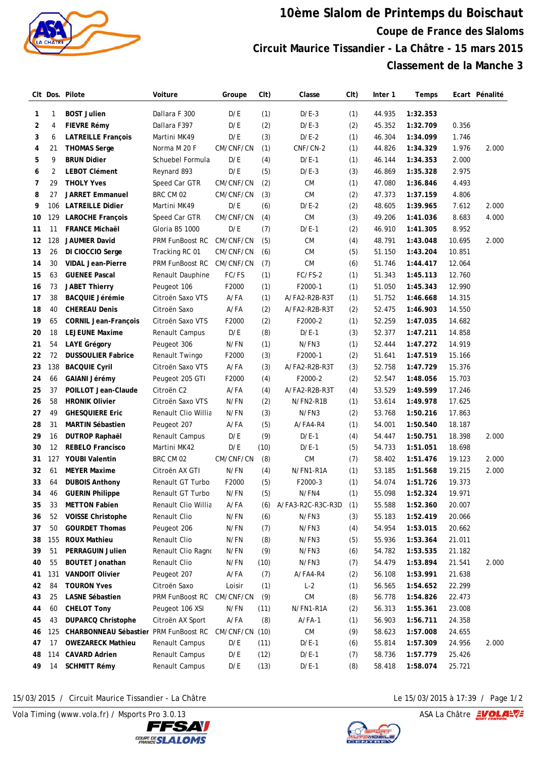

## **10ème Slalom de Printemps du Boischaut Coupe de France des Slaloms Circuit Maurice Tissandier - La Châtre - 15 mars 2015 Classement de la Manche 3**

|    |     | CIt Dos. Pilote                       | Voiture                | Groupe    | CIt) | Classe            | $\mathsf{C}$ It | Inter 1 | Temps    |        | Ecart Pénalité |
|----|-----|---------------------------------------|------------------------|-----------|------|-------------------|-----------------|---------|----------|--------|----------------|
| 1  | 1   | <b>BOST Julien</b>                    | Dallara F 300          | D/E       | (1)  | $D/E-3$           | (1)             | 44.935  | 1:32.353 |        |                |
| 2  | 4   | <b>FIEVRE Rémy</b>                    | Dallara F397           | D/E       | (2)  | $D/E-3$           | (2)             | 45.352  | 1:32.709 | 0.356  |                |
| 3  | 6   | <b>LATREILLE François</b>             | Martini MK49           | D/E       | (3)  | $D/E-2$           | (1)             | 46.304  | 1:34.099 | 1.746  |                |
| 4  | 21  | <b>THOMAS Serge</b>                   | Norma M 20 F           | CM/CNF/CN | (1)  | CNF/CN-2          | (1)             | 44.826  | 1:34.329 | 1.976  | 2.000          |
| 5  | 9   | <b>BRUN Didier</b>                    | Schuebel Formula       | D/E       | (4)  | $D/E-1$           | (1)             | 46.144  | 1:34.353 | 2.000  |                |
| 6  | 2   | <b>LEBOT Clément</b>                  | Reynard 893            | D/E       | (5)  | $D/E-3$           | (3)             | 46.869  | 1:35.328 | 2.975  |                |
| 7  | 29  | <b>THOLY Yves</b>                     | Speed Car GTR          | CM/CNF/CN | (2)  | <b>CM</b>         | (1)             | 47.080  | 1:36.846 | 4.493  |                |
| 8  | 27  | <b>JARRET Emmanuel</b>                | BRC CM 02              | CM/CNF/CN | (3)  | <b>CM</b>         | (2)             | 47.373  | 1:37.159 | 4.806  |                |
| 9  | 106 | <b>LATREILLE Didier</b>               | Martini MK49           | D/E       | (6)  | $D/E-2$           | (2)             | 48.605  | 1:39.965 | 7.612  | 2.000          |
| 10 | 129 | <b>LAROCHE François</b>               | Speed Car GTR          | CM/CNF/CN | (4)  | <b>CM</b>         | (3)             | 49.206  | 1:41.036 | 8.683  | 4.000          |
| 11 | 11  | <b>FRANCE Michaël</b>                 | Gloria B5 1000         | D/E       | (7)  | $D/E-1$           | (2)             | 46.910  | 1:41.305 | 8.952  |                |
| 12 | 128 | <b>JAUMIER David</b>                  | <b>PRM FunBoost RC</b> | CM/CNF/CN | (5)  | <b>CM</b>         | (4)             | 48.791  | 1:43.048 | 10.695 | 2.000          |
| 13 | 26  | DI CIOCCIO Serge                      | Tracking RC 01         | CM/CNF/CN | (6)  | <b>CM</b>         | (5)             | 51.150  | 1:43.204 | 10.851 |                |
| 14 | 30  | <b>VIDAL Jean-Pierre</b>              | PRM FunBoost RC        | CM/CNF/CN | (7)  | <b>CM</b>         | (6)             | 51.746  | 1:44.417 | 12.064 |                |
| 15 | 63  | <b>GUENEE Pascal</b>                  | Renault Dauphine       | FC/FS     | (1)  | FC/FS-2           | (1)             | 51.343  | 1:45.113 | 12.760 |                |
| 16 | 73  | <b>JABET Thierry</b>                  | Peugeot 106            | F2000     | (1)  | F2000-1           | (1)             | 51.050  | 1:45.343 | 12.990 |                |
| 17 | 38  | <b>BACQUIE Jérémie</b>                | Citroën Saxo VTS       | $A$ /FA   | (1)  | A/FA2-R2B-R3T     | (1)             | 51.752  | 1:46.668 | 14.315 |                |
| 18 | 40  | <b>CHEREAU Denis</b>                  | Citroën Saxo           | $A$ /FA   | (2)  | A/FA2-R2B-R3T     | (2)             | 52.475  | 1:46.903 | 14.550 |                |
| 19 | 65  | <b>CORNIL Jean-François</b>           | Citroën Saxo VTS       | F2000     | (2)  | F2000-2           | (1)             | 52.259  | 1:47.035 | 14.682 |                |
| 20 | 18  | <b>LEJEUNE Maxime</b>                 | Renault Campus         | D/E       | (8)  | $D/E-1$           | (3)             | 52.377  | 1:47.211 | 14.858 |                |
| 21 | 54  | <b>LAYE Grégory</b>                   | Peugeot 306            | N/FN      | (1)  | N/FN3             | (1)             | 52.444  | 1:47.272 | 14.919 |                |
| 22 | 72  | <b>DUSSOULIER Fabrice</b>             | Renault Twingo         | F2000     | (3)  | F2000-1           | (2)             | 51.641  | 1:47.519 | 15.166 |                |
| 23 | 138 | <b>BACQUIE Cyril</b>                  | Citroën Saxo VTS       | A/FA      | (3)  | A/FA2-R2B-R3T     | (3)             | 52.758  | 1:47.729 | 15.376 |                |
| 24 | 66  | <b>GAIANI Jérémy</b>                  | Peugeot 205 GTI        | F2000     | (4)  | F2000-2           | (2)             | 52.547  | 1:48.056 | 15.703 |                |
| 25 | 37  | POILLOT Jean-Claude                   | Citroën C2             | A/FA      | (4)  | A/FA2-R2B-R3T     | (4)             | 53.529  | 1:49.599 | 17.246 |                |
| 26 | 58  | <b>HRONIK Olivier</b>                 | Citroën Saxo VTS       | N/FN      | (2)  | N/FN2-R1B         | (1)             | 53.614  | 1:49.978 | 17.625 |                |
| 27 | 49  | <b>GHESQUIERE Eric</b>                | Renault Clio Willia    | N/FN      | (3)  | N/FN3             | (2)             | 53.768  | 1:50.216 | 17.863 |                |
| 28 | 31  | <b>MARTIN Sébastien</b>               | Peugeot 207            | $A$ /FA   | (5)  | A/FA4-R4          | (1)             | 54.001  | 1:50.540 | 18.187 |                |
| 29 | 16  | <b>DUTROP Raphaël</b>                 | Renault Campus         | D/E       | (9)  | $D/E-1$           | (4)             | 54.447  | 1:50.751 | 18.398 | 2.000          |
| 30 | 12  | <b>REBELO Francisco</b>               | Martini MK42           | D/E       | (10) | $D/E-1$           | (5)             | 54.733  | 1:51.051 | 18.698 |                |
| 31 | 127 | <b>YOUBI Valentin</b>                 | BRC CM 02              | CM/CNF/CN | (8)  | <b>CM</b>         | (7)             | 58.402  | 1:51.476 | 19.123 | 2.000          |
| 32 | 61  | <b>MEYER Maxime</b>                   | Citroën AX GTI         | N/FN      | (4)  | N/FN1-R1A         | (1)             | 53.185  | 1:51.568 | 19.215 | 2.000          |
| 33 | 64  | <b>DUBOIS Anthony</b>                 | Renault GT Turbo       | F2000     | (5)  | F2000-3           | (1)             | 54.074  | 1:51.726 | 19.373 |                |
| 34 | 46  | <b>GUERIN Philippe</b>                | Renault GT Turbo       | N/FN      | (5)  | N/FN4             | (1)             | 55.098  | 1:52.324 | 19.971 |                |
| 35 | 33  | <b>METTON Fabien</b>                  | Renault Clio Willia    | A/FA      | (6)  | A/FA3-R2C-R3C-R3D | (1)             | 55.588  | 1:52.360 | 20.007 |                |
| 36 | 52  | <b>VOISSE Christophe</b>              | Renault Clio           | N/FN      | (6)  | N/FN3             | (3)             | 55.183  | 1:52.419 | 20.066 |                |
| 37 | 50  | <b>GOURDET Thomas</b>                 | Peugeot 206            | N/FN      | (7)  | N/FN3             | (4)             | 54.954  | 1:53.015 | 20.662 |                |
| 38 | 155 | <b>ROUX Mathieu</b>                   | Renault Clio           | N/FN      | (8)  | N/FN3             | (5)             | 55.936  | 1:53.364 | 21.011 |                |
| 39 | 51  | <b>PERRAGUIN Julien</b>               | Renault Clio Ragno     | N/FN      | (9)  | N/FN3             | (6)             | 54.782  | 1:53.535 | 21.182 |                |
| 40 | 55  | <b>BOUTET Jonathan</b>                | Renault Clio           | N/FN      | (10) | N/FN3             | (7)             | 54.479  | 1:53.894 | 21.541 | 2.000          |
| 41 | 131 | <b>VANDOIT Olivier</b>                | Peugeot 207            | A/FA      | (7)  | A/FA4-R4          | (2)             | 56.108  | 1:53.991 | 21.638 |                |
| 42 | 84  | <b>TOURON Yves</b>                    | Citroën Saxo           | Loisir    | (1)  | $L-2$             | (1)             | 56.565  | 1:54.652 | 22.299 |                |
| 43 | 25  | LASNE Sébastien                       | PRM FunBoost RC        | CM/CNF/CN | (9)  | ${\sf CM}$        | (8)             | 56.778  | 1:54.826 | 22.473 |                |
| 44 | 60  | <b>CHELOT Tony</b>                    | Peugeot 106 XSI        | N/FN      | (11) | N/FN1-R1A         | (2)             | 56.313  | 1:55.361 | 23.008 |                |
| 45 | 43  | <b>DUPARCQ Christophe</b>             | Citroën AX Sport       | $A$ /FA   | (8)  | $A$ /FA-1         | (1)             | 56.903  | 1:56.711 | 24.358 |                |
| 46 | 125 | CHARBONNEAU Sébastier PRM FunBoost RC |                        | CM/CNF/CN | (10) | CM                | (9)             | 58.623  | 1:57.008 | 24.655 |                |
| 47 | 17  | <b>OWEZARECK Mathieu</b>              | Renault Campus         | D/E       | (11) | $D/E-1$           | (6)             | 55.814  | 1:57.309 | 24.956 | 2.000          |
| 48 | 114 | <b>CAVARD Adrien</b>                  | Renault Campus         | D/E       | (12) | $D/E-1$           | (7)             | 58.736  | 1:57.779 | 25.426 |                |
| 49 | 14  | <b>SCHMITT Rémy</b>                   | Renault Campus         | D/E       | (13) | $D/E-1$           | (8)             | 58.418  | 1:58.074 | 25.721 |                |
|    |     |                                       |                        |           |      |                   |                 |         |          |        |                |

15/03/2015 / Circuit Maurice Tissandier - La Châtre Le 15/03/2015 à 17:39 / Page 1/2

Vola Timing (www.vola.fr) / Msports Pro 3.0.13  $\sqrt{2}$  Vola Timing (www.vola.fr) / Msports Pro 3.0.13